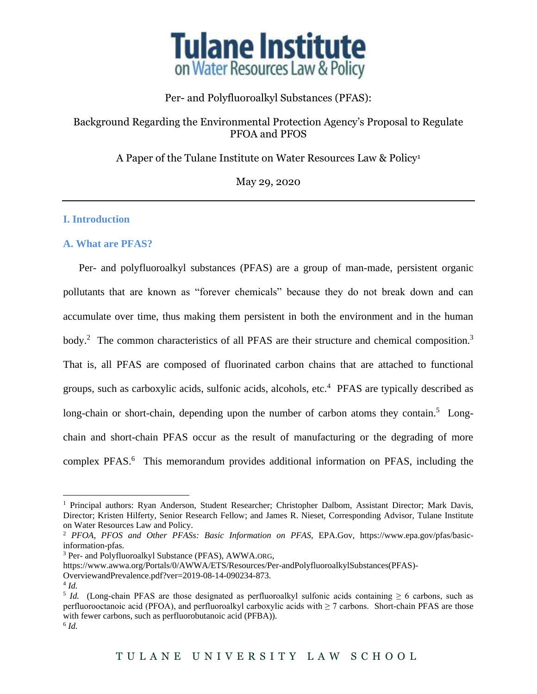

## Per- and Polyfluoroalkyl Substances (PFAS):

## Background Regarding the Environmental Protection Agency's Proposal to Regulate PFOA and PFOS

A Paper of the Tulane Institute on Water Resources Law & Policy<sup>1</sup>

May 29, 2020

## **I. Introduction**

### **A. What are PFAS?**

Per- and polyfluoroalkyl substances (PFAS) are a group of man-made, persistent organic pollutants that are known as "forever chemicals" because they do not break down and can accumulate over time, thus making them persistent in both the environment and in the human body.<sup>2</sup> The common characteristics of all PFAS are their structure and chemical composition.<sup>3</sup> That is, all PFAS are composed of fluorinated carbon chains that are attached to functional groups, such as carboxylic acids, sulfonic acids, alcohols, etc.<sup>4</sup> PFAS are typically described as long-chain or short-chain, depending upon the number of carbon atoms they contain.<sup>5</sup> Longchain and short-chain PFAS occur as the result of manufacturing or the degrading of more complex PFAS.<sup>6</sup> This memorandum provides additional information on PFAS, including the

<sup>&</sup>lt;sup>1</sup> Principal authors: Ryan Anderson, Student Researcher; Christopher Dalbom, Assistant Director; Mark Davis, Director; Kristen Hilferty, Senior Research Fellow; and James R. Nieset, Corresponding Advisor, Tulane Institute on Water Resources Law and Policy.

<sup>2</sup> *PFOA, PFOS and Other PFASs: Basic Information on PFAS*, EPA.Gov, https://www.epa.gov/pfas/basicinformation-pfas.

<sup>3</sup> Per- and Polyfluoroalkyl Substance (PFAS), AWWA.ORG,

https://www.awwa.org/Portals/0/AWWA/ETS/Resources/Per-andPolyfluoroalkylSubstances(PFAS)-

OverviewandPrevalence.pdf?ver=2019-08-14-090234-873.

<sup>4</sup> *Id.*

<sup>&</sup>lt;sup>5</sup> *Id.* (Long-chain PFAS are those designated as perfluoroalkyl sulfonic acids containing  $\geq 6$  carbons, such as perfluorooctanoic acid (PFOA), and perfluoroalkyl carboxylic acids with  $\geq$  7 carbons. Short-chain PFAS are those with fewer carbons, such as perfluorobutanoic acid (PFBA)). 6 *Id.*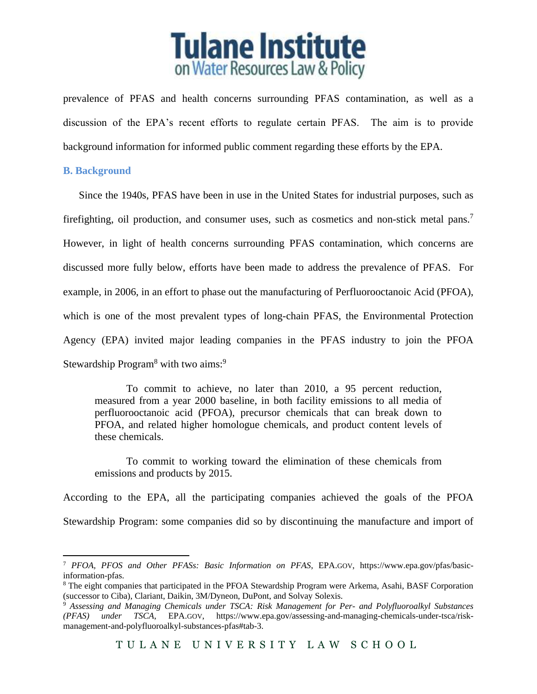

prevalence of PFAS and health concerns surrounding PFAS contamination, as well as a discussion of the EPA's recent efforts to regulate certain PFAS. The aim is to provide background information for informed public comment regarding these efforts by the EPA.

### **B. Background**

Since the 1940s, PFAS have been in use in the United States for industrial purposes, such as firefighting, oil production, and consumer uses, such as cosmetics and non-stick metal pans.<sup>7</sup> However, in light of health concerns surrounding PFAS contamination, which concerns are discussed more fully below, efforts have been made to address the prevalence of PFAS. For example, in 2006, in an effort to phase out the manufacturing of Perfluorooctanoic Acid (PFOA), which is one of the most prevalent types of long-chain PFAS, the Environmental Protection Agency (EPA) invited major leading companies in the PFAS industry to join the PFOA Stewardship Program<sup>8</sup> with two aims:<sup>9</sup>

To commit to achieve, no later than 2010, a 95 percent reduction, measured from a year 2000 baseline, in both facility emissions to all media of perfluorooctanoic acid (PFOA), precursor chemicals that can break down to PFOA, and related higher homologue chemicals, and product content levels of these chemicals.

To commit to working toward the elimination of these chemicals from emissions and products by 2015.

According to the EPA, all the participating companies achieved the goals of the PFOA Stewardship Program: some companies did so by discontinuing the manufacture and import of

<sup>7</sup> *PFOA, PFOS and Other PFASs: Basic Information on PFAS*, EPA.GOV, https://www.epa.gov/pfas/basicinformation-pfas.

<sup>&</sup>lt;sup>8</sup> The eight companies that participated in the PFOA Stewardship Program were Arkema, Asahi, BASF Corporation (successor to Ciba), Clariant, Daikin, 3M/Dyneon, DuPont, and Solvay Solexis.

<sup>9</sup> *Assessing and Managing Chemicals under TSCA: Risk Management for Per- and Polyfluoroalkyl Substances (PFAS) under TSCA*, EPA.GOV, https://www.epa.gov/assessing-and-managing-chemicals-under-tsca/riskmanagement-and-polyfluoroalkyl-substances-pfas#tab-3.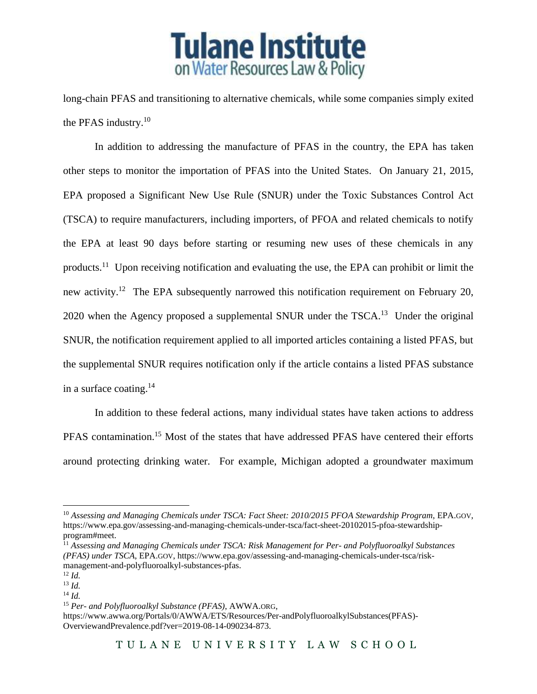

long-chain PFAS and transitioning to alternative chemicals, while some companies simply exited the PFAS industry.<sup>10</sup>

In addition to addressing the manufacture of PFAS in the country, the EPA has taken other steps to monitor the importation of PFAS into the United States. On January 21, 2015, EPA proposed a Significant New Use Rule (SNUR) under the Toxic Substances Control Act (TSCA) to require manufacturers, including importers, of PFOA and related chemicals to notify the EPA at least 90 days before starting or resuming new uses of these chemicals in any products.<sup>11</sup> Upon receiving notification and evaluating the use, the EPA can prohibit or limit the new activity.<sup>12</sup> The EPA subsequently narrowed this notification requirement on February 20, 2020 when the Agency proposed a supplemental SNUR under the TSCA.<sup>13</sup> Under the original SNUR, the notification requirement applied to all imported articles containing a listed PFAS, but the supplemental SNUR requires notification only if the article contains a listed PFAS substance in a surface coating. 14

In addition to these federal actions, many individual states have taken actions to address PFAS contamination.<sup>15</sup> Most of the states that have addressed PFAS have centered their efforts around protecting drinking water. For example, Michigan adopted a groundwater maximum

<sup>12</sup> *Id.*

<sup>10</sup> *Assessing and Managing Chemicals under TSCA: Fact Sheet: 2010/2015 PFOA Stewardship Program*, EPA.GOV, https://www.epa.gov/assessing-and-managing-chemicals-under-tsca/fact-sheet-20102015-pfoa-stewardshipprogram#meet.

<sup>11</sup> *Assessing and Managing Chemicals under TSCA: Risk Management for Per- and Polyfluoroalkyl Substances (PFAS) under TSCA*, EPA.GOV, https://www.epa.gov/assessing-and-managing-chemicals-under-tsca/riskmanagement-and-polyfluoroalkyl-substances-pfas.

<sup>13</sup> *Id.*

<sup>14</sup> *Id.*

<sup>15</sup> *Per- and Polyfluoroalkyl Substance (PFAS)*, AWWA.ORG,

https://www.awwa.org/Portals/0/AWWA/ETS/Resources/Per-andPolyfluoroalkylSubstances(PFAS)- OverviewandPrevalence.pdf?ver=2019-08-14-090234-873.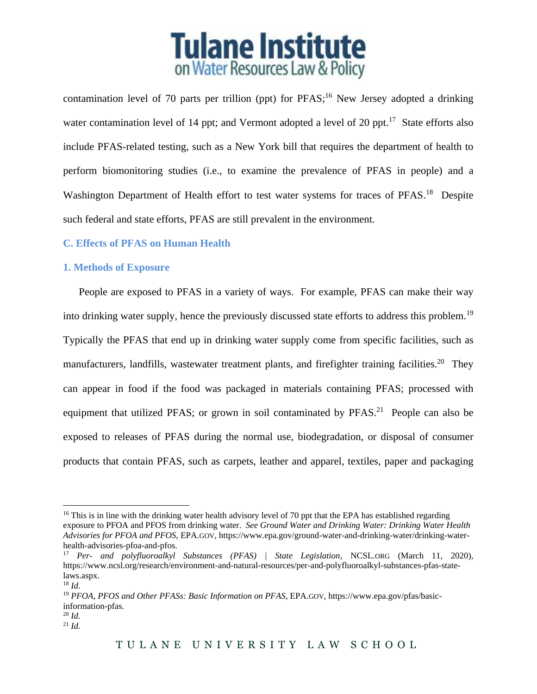

contamination level of 70 parts per trillion (ppt) for  $PFAST^{16}$  New Jersey adopted a drinking water contamination level of 14 ppt; and Vermont adopted a level of 20 ppt. $17$  State efforts also include PFAS-related testing, such as a New York bill that requires the department of health to perform biomonitoring studies (i.e., to examine the prevalence of PFAS in people) and a Washington Department of Health effort to test water systems for traces of PFAS.<sup>18</sup> Despite such federal and state efforts, PFAS are still prevalent in the environment.

### **C. Effects of PFAS on Human Health**

#### **1. Methods of Exposure**

People are exposed to PFAS in a variety of ways. For example, PFAS can make their way into drinking water supply, hence the previously discussed state efforts to address this problem.<sup>19</sup> Typically the PFAS that end up in drinking water supply come from specific facilities, such as manufacturers, landfills, wastewater treatment plants, and firefighter training facilities.<sup>20</sup> They can appear in food if the food was packaged in materials containing PFAS; processed with equipment that utilized PFAS; or grown in soil contaminated by PFAS.<sup>21</sup> People can also be exposed to releases of PFAS during the normal use, biodegradation, or disposal of consumer products that contain PFAS, such as carpets, leather and apparel, textiles, paper and packaging

<sup>&</sup>lt;sup>16</sup> This is in line with the drinking water health advisory level of 70 ppt that the EPA has established regarding exposure to PFOA and PFOS from drinking water. *See Ground Water and Drinking Water: Drinking Water Health Advisories for PFOA and PFOS*, EPA.GOV, https://www.epa.gov/ground-water-and-drinking-water/drinking-waterhealth-advisories-pfoa-and-pfos.

<sup>17</sup> *Per- and polyfluoroalkyl Substances (PFAS) | State Legislation*, NCSL.ORG (March 11, 2020), https://www.ncsl.org/research/environment-and-natural-resources/per-and-polyfluoroalkyl-substances-pfas-statelaws.aspx.

<sup>18</sup> *Id.*

<sup>19</sup> *PFOA, PFOS and Other PFASs: Basic Information on PFAS*, EPA.GOV, https://www.epa.gov/pfas/basicinformation-pfas.

<sup>20</sup> *Id.*

<sup>21</sup> *Id.*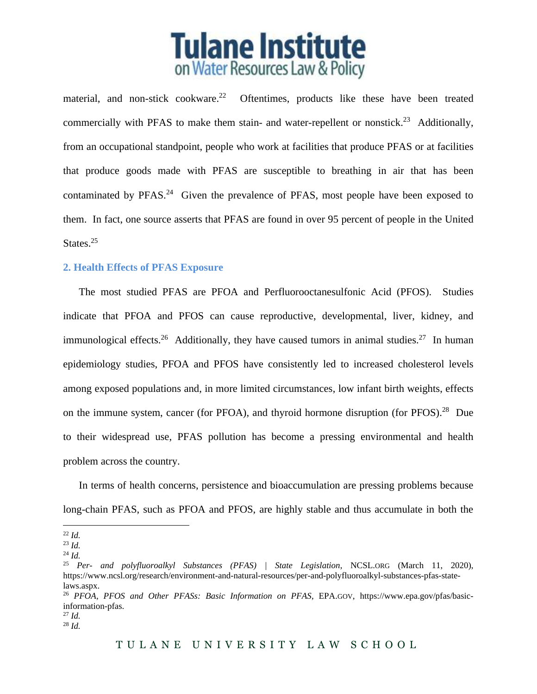

material, and non-stick cookware.<sup>22</sup> Oftentimes, products like these have been treated commercially with PFAS to make them stain- and water-repellent or nonstick.<sup>23</sup> Additionally, from an occupational standpoint, people who work at facilities that produce PFAS or at facilities that produce goods made with PFAS are susceptible to breathing in air that has been contaminated by  $PFAST<sup>24</sup>$  Given the prevalence of  $PFAST$ , most people have been exposed to them. In fact, one source asserts that PFAS are found in over 95 percent of people in the United States.<sup>25</sup>

#### **2. Health Effects of PFAS Exposure**

The most studied PFAS are PFOA and Perfluorooctanesulfonic Acid (PFOS). Studies indicate that PFOA and PFOS can cause reproductive, developmental, liver, kidney, and immunological effects.<sup>26</sup> Additionally, they have caused tumors in animal studies.<sup>27</sup> In human epidemiology studies, PFOA and PFOS have consistently led to increased cholesterol levels among exposed populations and, in more limited circumstances, low infant birth weights, effects on the immune system, cancer (for PFOA), and thyroid hormone disruption (for PFOS).<sup>28</sup> Due to their widespread use, PFAS pollution has become a pressing environmental and health problem across the country.

In terms of health concerns, persistence and bioaccumulation are pressing problems because long-chain PFAS, such as PFOA and PFOS, are highly stable and thus accumulate in both the

<sup>22</sup> *Id.*

<sup>23</sup> *Id.*

<sup>24</sup> *Id.*

<sup>25</sup> *Per- and polyfluoroalkyl Substances (PFAS) | State Legislation*, NCSL.ORG (March 11, 2020), https://www.ncsl.org/research/environment-and-natural-resources/per-and-polyfluoroalkyl-substances-pfas-statelaws.aspx.

<sup>26</sup> *PFOA, PFOS and Other PFASs: Basic Information on PFAS*, EPA.GOV, https://www.epa.gov/pfas/basicinformation-pfas.

<sup>27</sup> *Id.* <sup>28</sup> *Id.*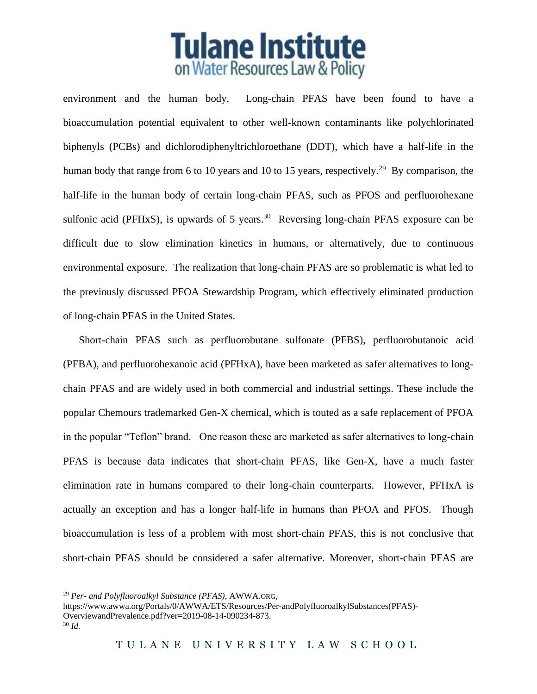

environment and the human body. Long-chain PFAS have been found to have a bioaccumulation potential equivalent to other well-known contaminants like polychlorinated biphenyls (PCBs) and dichlorodiphenyltrichloroethane (DDT), which have a half-life in the human body that range from 6 to 10 years and 10 to 15 years, respectively.<sup>29</sup> By comparison, the half-life in the human body of certain long-chain PFAS, such as PFOS and perfluorohexane sulfonic acid (PFHxS), is upwards of 5 years.<sup>30</sup> Reversing long-chain PFAS exposure can be difficult due to slow elimination kinetics in humans, or alternatively, due to continuous environmental exposure. The realization that long-chain PFAS are so problematic is what led to the previously discussed PFOA Stewardship Program, which effectively eliminated production of long-chain PFAS in the United States.

Short-chain PFAS such as perfluorobutane sulfonate (PFBS), perfluorobutanoic acid (PFBA), and perfluorohexanoic acid (PFHxA), have been marketed as safer alternatives to longchain PFAS and are widely used in both commercial and industrial settings. These include the popular Chemours trademarked Gen-X chemical, which is touted as a safe replacement of PFOA in the popular "Teflon" brand. One reason these are marketed as safer alternatives to long-chain PFAS is because data indicates that short-chain PFAS, like Gen-X, have a much faster elimination rate in humans compared to their long-chain counterparts. However, PFHxA is actually an exception and has a longer half-life in humans than PFOA and PFOS. Though bioaccumulation is less of a problem with most short-chain PFAS, this is not conclusive that short-chain PFAS should be considered a safer alternative. Moreover, short-chain PFAS are

<sup>29</sup> *Per- and Polyfluoroalkyl Substance (PFAS)*, AWWA.ORG,

https://www.awwa.org/Portals/0/AWWA/ETS/Resources/Per-andPolyfluoroalkylSubstances(PFAS)- OverviewandPrevalence.pdf?ver=2019-08-14-090234-873. <sup>30</sup> *Id.*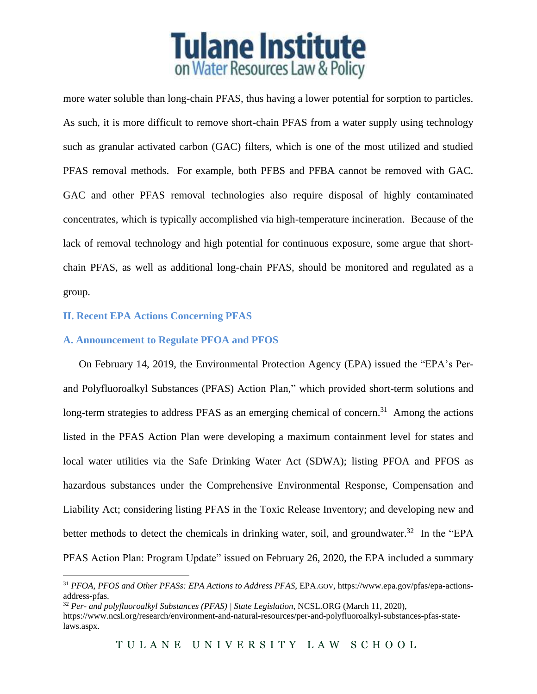# **Tulane Institute** on Water Resources Law & Policy

more water soluble than long-chain PFAS, thus having a lower potential for sorption to particles. As such, it is more difficult to remove short-chain PFAS from a water supply using technology such as granular activated carbon (GAC) filters, which is one of the most utilized and studied PFAS removal methods. For example, both PFBS and PFBA cannot be removed with GAC. GAC and other PFAS removal technologies also require disposal of highly contaminated concentrates, which is typically accomplished via high-temperature incineration. Because of the lack of removal technology and high potential for continuous exposure, some argue that shortchain PFAS, as well as additional long-chain PFAS, should be monitored and regulated as a group.

## **II. Recent EPA Actions Concerning PFAS**

## **A. Announcement to Regulate PFOA and PFOS**

On February 14, 2019, the Environmental Protection Agency (EPA) issued the "EPA's Perand Polyfluoroalkyl Substances (PFAS) Action Plan," which provided short-term solutions and long-term strategies to address PFAS as an emerging chemical of concern.<sup>31</sup> Among the actions listed in the PFAS Action Plan were developing a maximum containment level for states and local water utilities via the Safe Drinking Water Act (SDWA); listing PFOA and PFOS as hazardous substances under the Comprehensive Environmental Response, Compensation and Liability Act; considering listing PFAS in the Toxic Release Inventory; and developing new and better methods to detect the chemicals in drinking water, soil, and groundwater.<sup>32</sup> In the "EPA PFAS Action Plan: Program Update" issued on February 26, 2020, the EPA included a summary

<sup>31</sup> *PFOA, PFOS and Other PFASs: EPA Actions to Address PFAS*, EPA.GOV, https://www.epa.gov/pfas/epa-actionsaddress-pfas.

<sup>32</sup> *Per- and polyfluoroalkyl Substances (PFAS) | State Legislation*, NCSL.ORG (March 11, 2020),

https://www.ncsl.org/research/environment-and-natural-resources/per-and-polyfluoroalkyl-substances-pfas-statelaws.aspx.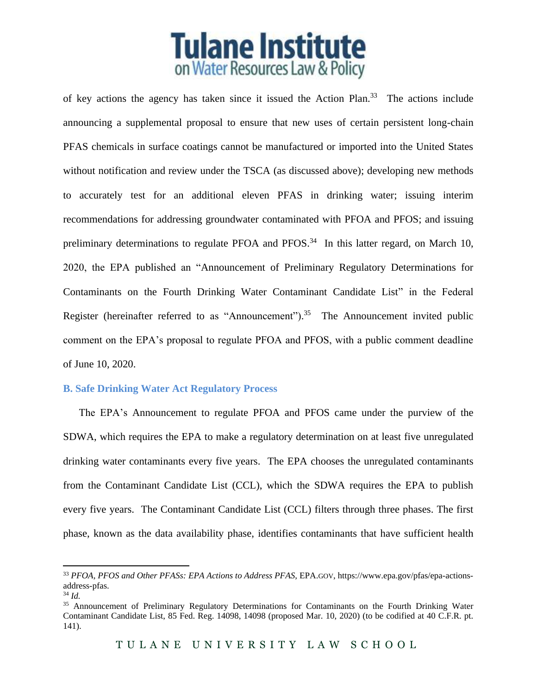# **Tulane Institute** on Water Resources Law & Policy

of key actions the agency has taken since it issued the Action Plan.<sup>33</sup> The actions include announcing a supplemental proposal to ensure that new uses of certain persistent long-chain PFAS chemicals in surface coatings cannot be manufactured or imported into the United States without notification and review under the TSCA (as discussed above); developing new methods to accurately test for an additional eleven PFAS in drinking water; issuing interim recommendations for addressing groundwater contaminated with PFOA and PFOS; and issuing preliminary determinations to regulate PFOA and PFOS. $34$  In this latter regard, on March 10, 2020, the EPA published an "Announcement of Preliminary Regulatory Determinations for Contaminants on the Fourth Drinking Water Contaminant Candidate List" in the Federal Register (hereinafter referred to as "Announcement").<sup>35</sup> The Announcement invited public comment on the EPA's proposal to regulate PFOA and PFOS, with a public comment deadline of June 10, 2020.

## **B. Safe Drinking Water Act Regulatory Process**

The EPA's Announcement to regulate PFOA and PFOS came under the purview of the SDWA, which requires the EPA to make a regulatory determination on at least five unregulated drinking water contaminants every five years. The EPA chooses the unregulated contaminants from the Contaminant Candidate List (CCL), which the SDWA requires the EPA to publish every five years. The Contaminant Candidate List (CCL) filters through three phases. The first phase, known as the data availability phase, identifies contaminants that have sufficient health

<sup>33</sup> *PFOA, PFOS and Other PFASs: EPA Actions to Address PFAS*, EPA.GOV, https://www.epa.gov/pfas/epa-actionsaddress-pfas.

<sup>34</sup> *Id.*

<sup>&</sup>lt;sup>35</sup> Announcement of Preliminary Regulatory Determinations for Contaminants on the Fourth Drinking Water Contaminant Candidate List, 85 Fed. Reg. 14098, 14098 (proposed Mar. 10, 2020) (to be codified at 40 C.F.R. pt. 141).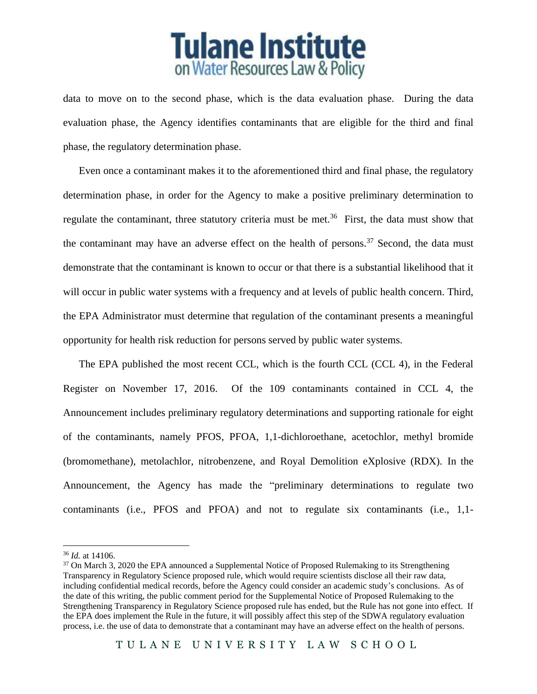

data to move on to the second phase, which is the data evaluation phase. During the data evaluation phase, the Agency identifies contaminants that are eligible for the third and final phase, the regulatory determination phase.

Even once a contaminant makes it to the aforementioned third and final phase, the regulatory determination phase, in order for the Agency to make a positive preliminary determination to regulate the contaminant, three statutory criteria must be met.<sup>36</sup> First, the data must show that the contaminant may have an adverse effect on the health of persons.<sup>37</sup> Second, the data must demonstrate that the contaminant is known to occur or that there is a substantial likelihood that it will occur in public water systems with a frequency and at levels of public health concern. Third, the EPA Administrator must determine that regulation of the contaminant presents a meaningful opportunity for health risk reduction for persons served by public water systems.

The EPA published the most recent CCL, which is the fourth CCL (CCL 4), in the Federal Register on November 17, 2016. Of the 109 contaminants contained in CCL 4, the Announcement includes preliminary regulatory determinations and supporting rationale for eight of the contaminants, namely PFOS, PFOA, 1,1-dichloroethane, acetochlor, methyl bromide (bromomethane), metolachlor, nitrobenzene, and Royal Demolition eXplosive (RDX). In the Announcement, the Agency has made the "preliminary determinations to regulate two contaminants (i.e., PFOS and PFOA) and not to regulate six contaminants (i.e., 1,1-

<sup>36</sup> *Id.* at 14106.

<sup>&</sup>lt;sup>37</sup> On March 3, 2020 the EPA announced a Supplemental Notice of Proposed Rulemaking to its Strengthening Transparency in Regulatory Science proposed rule, which would require scientists disclose all their raw data, including confidential medical records, before the Agency could consider an academic study's conclusions. As of the date of this writing, the public comment period for the Supplemental Notice of Proposed Rulemaking to the Strengthening Transparency in Regulatory Science proposed rule has ended, but the Rule has not gone into effect. If the EPA does implement the Rule in the future, it will possibly affect this step of the SDWA regulatory evaluation process, i.e. the use of data to demonstrate that a contaminant may have an adverse effect on the health of persons.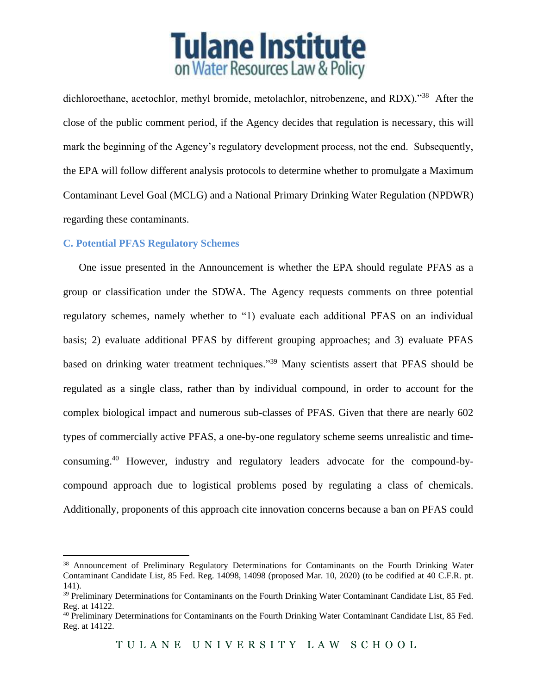# **Tulane Institute** on Water Resources Law & Policy

dichloroethane, acetochlor, methyl bromide, metolachlor, nitrobenzene, and RDX)."<sup>38</sup> After the close of the public comment period, if the Agency decides that regulation is necessary, this will mark the beginning of the Agency's regulatory development process, not the end. Subsequently, the EPA will follow different analysis protocols to determine whether to promulgate a Maximum Contaminant Level Goal (MCLG) and a National Primary Drinking Water Regulation (NPDWR) regarding these contaminants.

## **C. Potential PFAS Regulatory Schemes**

One issue presented in the Announcement is whether the EPA should regulate PFAS as a group or classification under the SDWA. The Agency requests comments on three potential regulatory schemes, namely whether to "1) evaluate each additional PFAS on an individual basis; 2) evaluate additional PFAS by different grouping approaches; and 3) evaluate PFAS based on drinking water treatment techniques."<sup>39</sup> Many scientists assert that PFAS should be regulated as a single class, rather than by individual compound, in order to account for the complex biological impact and numerous sub-classes of PFAS. Given that there are nearly 602 types of commercially active PFAS, a one-by-one regulatory scheme seems unrealistic and timeconsuming. <sup>40</sup> However, industry and regulatory leaders advocate for the compound-bycompound approach due to logistical problems posed by regulating a class of chemicals. Additionally, proponents of this approach cite innovation concerns because a ban on PFAS could

<sup>38</sup> Announcement of Preliminary Regulatory Determinations for Contaminants on the Fourth Drinking Water Contaminant Candidate List, 85 Fed. Reg. 14098, 14098 (proposed Mar. 10, 2020) (to be codified at 40 C.F.R. pt. 141).

<sup>&</sup>lt;sup>39</sup> Preliminary Determinations for Contaminants on the Fourth Drinking Water Contaminant Candidate List, 85 Fed. Reg. at 14122.

<sup>&</sup>lt;sup>40</sup> Preliminary Determinations for Contaminants on the Fourth Drinking Water Contaminant Candidate List, 85 Fed. Reg. at 14122.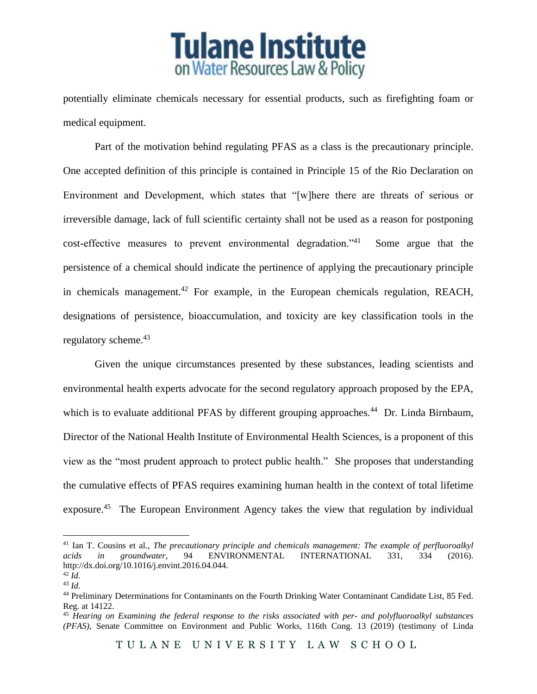

potentially eliminate chemicals necessary for essential products, such as firefighting foam or medical equipment.

Part of the motivation behind regulating PFAS as a class is the precautionary principle. One accepted definition of this principle is contained in Principle 15 of the Rio Declaration on Environment and Development, which states that "[w]here there are threats of serious or irreversible damage, lack of full scientific certainty shall not be used as a reason for postponing cost-effective measures to prevent environmental degradation."<sup>41</sup> Some argue that the persistence of a chemical should indicate the pertinence of applying the precautionary principle in chemicals management.<sup>42</sup> For example, in the European chemicals regulation, REACH, designations of persistence, bioaccumulation, and toxicity are key classification tools in the regulatory scheme.<sup>43</sup>

Given the unique circumstances presented by these substances, leading scientists and environmental health experts advocate for the second regulatory approach proposed by the EPA, which is to evaluate additional PFAS by different grouping approaches.<sup>44</sup> Dr. Linda Birnbaum, Director of the National Health Institute of Environmental Health Sciences, is a proponent of this view as the "most prudent approach to protect public health." She proposes that understanding the cumulative effects of PFAS requires examining human health in the context of total lifetime exposure.<sup>45</sup> The European Environment Agency takes the view that regulation by individual

<sup>&</sup>lt;sup>41</sup> Ian T. Cousins et al., *The precautionary principle and chemicals management: The example of perfluoroalkyl acids in groundwater, 94 ENVIRONMENTAL INTERNATIONAL 331, 334 (2016). acids in groundwater*, 94 ENVIRONMENTAL INTERNATIONAL 331, 334 (2016). http://dx.doi.org/10.1016/j.envint.2016.04.044.

<sup>42</sup> *Id.*

<sup>43</sup> *Id.*

<sup>44</sup> Preliminary Determinations for Contaminants on the Fourth Drinking Water Contaminant Candidate List, 85 Fed. Reg. at 14122.

<sup>45</sup> *Hearing on Examining the federal response to the risks associated with per- and polyfluoroalkyl substances (PFAS)*, Senate Committee on Environment and Public Works, 116th Cong. 13 (2019) (testimony of Linda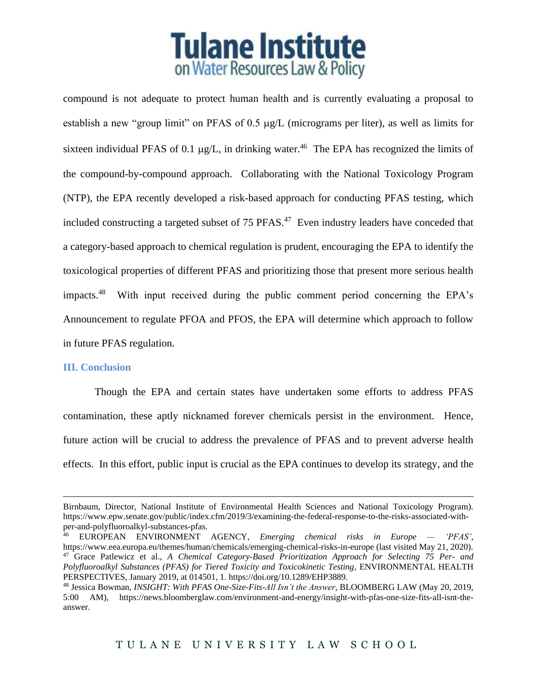

compound is not adequate to protect human health and is currently evaluating a proposal to establish a new "group limit" on PFAS of  $0.5 \mu g/L$  (micrograms per liter), as well as limits for sixteen individual PFAS of 0.1  $\mu$ g/L, in drinking water.<sup>46</sup> The EPA has recognized the limits of the compound-by-compound approach. Collaborating with the National Toxicology Program (NTP), the EPA recently developed a risk-based approach for conducting PFAS testing, which included constructing a targeted subset of 75 PFAS.<sup>47</sup> Even industry leaders have conceded that a category-based approach to chemical regulation is prudent, encouraging the EPA to identify the toxicological properties of different PFAS and prioritizing those that present more serious health impacts.<sup>48</sup> With input received during the public comment period concerning the EPA's Announcement to regulate PFOA and PFOS, the EPA will determine which approach to follow in future PFAS regulation.

#### **III. Conclusion**

Though the EPA and certain states have undertaken some efforts to address PFAS contamination, these aptly nicknamed forever chemicals persist in the environment. Hence, future action will be crucial to address the prevalence of PFAS and to prevent adverse health effects. In this effort, public input is crucial as the EPA continues to develop its strategy, and the

Birnbaum, Director, National Institute of Environmental Health Sciences and National Toxicology Program). https://www.epw.senate.gov/public/index.cfm/2019/3/examining-the-federal-response-to-the-risks-associated-withper-and-polyfluoroalkyl-substances-pfas.

<sup>46</sup> EUROPEAN ENVIRONMENT AGENCY, *Emerging chemical risks in Europe — 'PFAS'*, https://www.eea.europa.eu/themes/human/chemicals/emerging-chemical-risks-in-europe (last visited May 21, 2020). <sup>47</sup> Grace Patlewicz et al., *A Chemical Category-Based Prioritization Approach for Selecting 75 Per- and Polyfluoroalkyl Substances (PFAS) for Tiered Toxicity and Toxicokinetic Testing*, ENVIRONMENTAL HEALTH PERSPECTIVES, January 2019, at 014501, 1. https://doi.org/10.1289/EHP3889.

<sup>48</sup> Jessica Bowman, *INSIGHT: With PFAS One-Size-Fits-All Isn't the Answer*, BLOOMBERG LAW (May 20, 2019, 5:00 AM), https://news.bloomberglaw.com/environment-and-energy/insight-with-pfas-one-size-fits-all-isnt-theanswer.